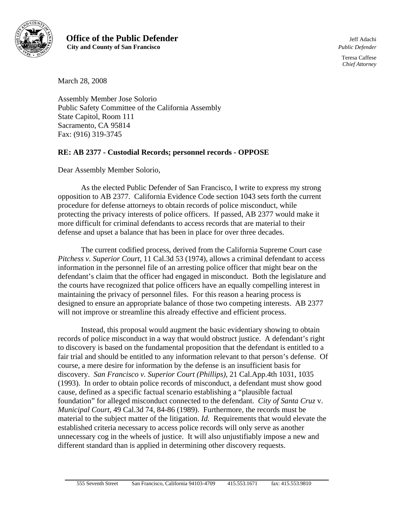

**Office of the Public Defender** Jeff Adachi  **City and County of San Francisco** *Public Defender*

Teresa Caffese *Chief Attorney*

March 28, 2008

Assembly Member Jose Solorio Public Safety Committee of the California Assembly State Capitol, Room 111 Sacramento, CA 95814 Fax: (916) 319-3745

## **RE: AB 2377 - Custodial Records; personnel records - OPPOSE**

Dear Assembly Member Solorio,

As the elected Public Defender of San Francisco, I write to express my strong opposition to AB 2377. California Evidence Code section 1043 sets forth the current procedure for defense attorneys to obtain records of police misconduct, while protecting the privacy interests of police officers. If passed, AB 2377 would make it more difficult for criminal defendants to access records that are material to their defense and upset a balance that has been in place for over three decades.

The current codified process, derived from the California Supreme Court case *Pitchess v. Superior Court*, 11 Cal.3d 53 (1974), allows a criminal defendant to access information in the personnel file of an arresting police officer that might bear on the defendant's claim that the officer had engaged in misconduct. Both the legislature and the courts have recognized that police officers have an equally compelling interest in maintaining the privacy of personnel files. For this reason a hearing process is designed to ensure an appropriate balance of those two competing interests. AB 2377 will not improve or streamline this already effective and efficient process.

Instead, this proposal would augment the basic evidentiary showing to obtain records of police misconduct in a way that would obstruct justice. A defendant's right to discovery is based on the fundamental proposition that the defendant is entitled to a fair trial and should be entitled to any information relevant to that person's defense. Of course, a mere desire for information by the defense is an insufficient basis for discovery. *San Francisco v. Superior Court (Phillips),* 21 Cal.App.4th 1031, 1035 (1993). In order to obtain police records of misconduct, a defendant must show good cause, defined as a specific factual scenario establishing a "plausible factual foundation" for alleged misconduct connected to the defendant. *City of Santa Cruz* v. *Municipal Court,* 49 Cal.3d 74, 84-86 (1989). Furthermore, the records must be material to the subject matter of the litigation. *Id.* Requirements that would elevate the established criteria necessary to access police records will only serve as another unnecessary cog in the wheels of justice. It will also unjustifiably impose a new and different standard than is applied in determining other discovery requests.